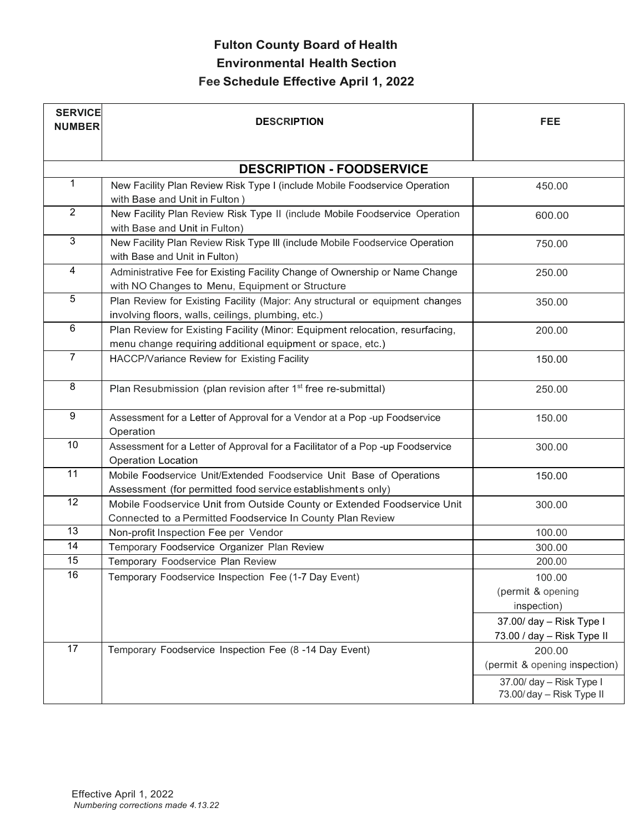| <b>DESCRIPTION - FOODSERVICE</b><br>$\mathbf{1}$<br>New Facility Plan Review Risk Type I (include Mobile Foodservice Operation<br>450.00<br>with Base and Unit in Fulton)<br>$\overline{2}$<br>New Facility Plan Review Risk Type II (include Mobile Foodservice Operation<br>600.00<br>with Base and Unit in Fulton)<br>$\overline{3}$<br>New Facility Plan Review Risk Type III (include Mobile Foodservice Operation<br>750.00<br>with Base and Unit in Fulton)<br>$\overline{4}$<br>Administrative Fee for Existing Facility Change of Ownership or Name Change<br>250.00<br>with NO Changes to Menu, Equipment or Structure<br>$\overline{5}$<br>Plan Review for Existing Facility (Major: Any structural or equipment changes<br>350.00<br>involving floors, walls, ceilings, plumbing, etc.)<br>6<br>Plan Review for Existing Facility (Minor: Equipment relocation, resurfacing,<br>200.00<br>menu change requiring additional equipment or space, etc.)<br>$\overline{7}$<br>HACCP/Variance Review for Existing Facility<br>150.00<br>$\overline{8}$<br>Plan Resubmission (plan revision after 1 <sup>st</sup> free re-submittal)<br>250.00<br>$\overline{9}$<br>Assessment for a Letter of Approval for a Vendor at a Pop -up Foodservice<br>150.00<br>Operation<br>10<br>Assessment for a Letter of Approval for a Facilitator of a Pop -up Foodservice<br>300.00<br><b>Operation Location</b><br>11<br>Mobile Foodservice Unit/Extended Foodservice Unit Base of Operations<br>150.00 |  |
|---------------------------------------------------------------------------------------------------------------------------------------------------------------------------------------------------------------------------------------------------------------------------------------------------------------------------------------------------------------------------------------------------------------------------------------------------------------------------------------------------------------------------------------------------------------------------------------------------------------------------------------------------------------------------------------------------------------------------------------------------------------------------------------------------------------------------------------------------------------------------------------------------------------------------------------------------------------------------------------------------------------------------------------------------------------------------------------------------------------------------------------------------------------------------------------------------------------------------------------------------------------------------------------------------------------------------------------------------------------------------------------------------------------------------------------------------------------------------------------------------|--|
|                                                                                                                                                                                                                                                                                                                                                                                                                                                                                                                                                                                                                                                                                                                                                                                                                                                                                                                                                                                                                                                                                                                                                                                                                                                                                                                                                                                                                                                                                                   |  |
|                                                                                                                                                                                                                                                                                                                                                                                                                                                                                                                                                                                                                                                                                                                                                                                                                                                                                                                                                                                                                                                                                                                                                                                                                                                                                                                                                                                                                                                                                                   |  |
|                                                                                                                                                                                                                                                                                                                                                                                                                                                                                                                                                                                                                                                                                                                                                                                                                                                                                                                                                                                                                                                                                                                                                                                                                                                                                                                                                                                                                                                                                                   |  |
|                                                                                                                                                                                                                                                                                                                                                                                                                                                                                                                                                                                                                                                                                                                                                                                                                                                                                                                                                                                                                                                                                                                                                                                                                                                                                                                                                                                                                                                                                                   |  |
|                                                                                                                                                                                                                                                                                                                                                                                                                                                                                                                                                                                                                                                                                                                                                                                                                                                                                                                                                                                                                                                                                                                                                                                                                                                                                                                                                                                                                                                                                                   |  |
|                                                                                                                                                                                                                                                                                                                                                                                                                                                                                                                                                                                                                                                                                                                                                                                                                                                                                                                                                                                                                                                                                                                                                                                                                                                                                                                                                                                                                                                                                                   |  |
|                                                                                                                                                                                                                                                                                                                                                                                                                                                                                                                                                                                                                                                                                                                                                                                                                                                                                                                                                                                                                                                                                                                                                                                                                                                                                                                                                                                                                                                                                                   |  |
|                                                                                                                                                                                                                                                                                                                                                                                                                                                                                                                                                                                                                                                                                                                                                                                                                                                                                                                                                                                                                                                                                                                                                                                                                                                                                                                                                                                                                                                                                                   |  |
|                                                                                                                                                                                                                                                                                                                                                                                                                                                                                                                                                                                                                                                                                                                                                                                                                                                                                                                                                                                                                                                                                                                                                                                                                                                                                                                                                                                                                                                                                                   |  |
|                                                                                                                                                                                                                                                                                                                                                                                                                                                                                                                                                                                                                                                                                                                                                                                                                                                                                                                                                                                                                                                                                                                                                                                                                                                                                                                                                                                                                                                                                                   |  |
|                                                                                                                                                                                                                                                                                                                                                                                                                                                                                                                                                                                                                                                                                                                                                                                                                                                                                                                                                                                                                                                                                                                                                                                                                                                                                                                                                                                                                                                                                                   |  |
|                                                                                                                                                                                                                                                                                                                                                                                                                                                                                                                                                                                                                                                                                                                                                                                                                                                                                                                                                                                                                                                                                                                                                                                                                                                                                                                                                                                                                                                                                                   |  |
|                                                                                                                                                                                                                                                                                                                                                                                                                                                                                                                                                                                                                                                                                                                                                                                                                                                                                                                                                                                                                                                                                                                                                                                                                                                                                                                                                                                                                                                                                                   |  |
|                                                                                                                                                                                                                                                                                                                                                                                                                                                                                                                                                                                                                                                                                                                                                                                                                                                                                                                                                                                                                                                                                                                                                                                                                                                                                                                                                                                                                                                                                                   |  |
|                                                                                                                                                                                                                                                                                                                                                                                                                                                                                                                                                                                                                                                                                                                                                                                                                                                                                                                                                                                                                                                                                                                                                                                                                                                                                                                                                                                                                                                                                                   |  |
|                                                                                                                                                                                                                                                                                                                                                                                                                                                                                                                                                                                                                                                                                                                                                                                                                                                                                                                                                                                                                                                                                                                                                                                                                                                                                                                                                                                                                                                                                                   |  |
|                                                                                                                                                                                                                                                                                                                                                                                                                                                                                                                                                                                                                                                                                                                                                                                                                                                                                                                                                                                                                                                                                                                                                                                                                                                                                                                                                                                                                                                                                                   |  |
|                                                                                                                                                                                                                                                                                                                                                                                                                                                                                                                                                                                                                                                                                                                                                                                                                                                                                                                                                                                                                                                                                                                                                                                                                                                                                                                                                                                                                                                                                                   |  |
|                                                                                                                                                                                                                                                                                                                                                                                                                                                                                                                                                                                                                                                                                                                                                                                                                                                                                                                                                                                                                                                                                                                                                                                                                                                                                                                                                                                                                                                                                                   |  |
|                                                                                                                                                                                                                                                                                                                                                                                                                                                                                                                                                                                                                                                                                                                                                                                                                                                                                                                                                                                                                                                                                                                                                                                                                                                                                                                                                                                                                                                                                                   |  |
| Assessment (for permitted food service establishments only)<br>12<br>Mobile Foodservice Unit from Outside County or Extended Foodservice Unit<br>300.00                                                                                                                                                                                                                                                                                                                                                                                                                                                                                                                                                                                                                                                                                                                                                                                                                                                                                                                                                                                                                                                                                                                                                                                                                                                                                                                                           |  |
| Connected to a Permitted Foodservice In County Plan Review                                                                                                                                                                                                                                                                                                                                                                                                                                                                                                                                                                                                                                                                                                                                                                                                                                                                                                                                                                                                                                                                                                                                                                                                                                                                                                                                                                                                                                        |  |
| 13<br>Non-profit Inspection Fee per Vendor<br>100.00                                                                                                                                                                                                                                                                                                                                                                                                                                                                                                                                                                                                                                                                                                                                                                                                                                                                                                                                                                                                                                                                                                                                                                                                                                                                                                                                                                                                                                              |  |
| 14<br>Temporary Foodservice Organizer Plan Review<br>300.00                                                                                                                                                                                                                                                                                                                                                                                                                                                                                                                                                                                                                                                                                                                                                                                                                                                                                                                                                                                                                                                                                                                                                                                                                                                                                                                                                                                                                                       |  |
| 15<br>Temporary Foodservice Plan Review<br>200.00                                                                                                                                                                                                                                                                                                                                                                                                                                                                                                                                                                                                                                                                                                                                                                                                                                                                                                                                                                                                                                                                                                                                                                                                                                                                                                                                                                                                                                                 |  |
| $\overline{16}$<br>Temporary Foodservice Inspection Fee (1-7 Day Event)<br>100.00                                                                                                                                                                                                                                                                                                                                                                                                                                                                                                                                                                                                                                                                                                                                                                                                                                                                                                                                                                                                                                                                                                                                                                                                                                                                                                                                                                                                                 |  |
| (permit & opening                                                                                                                                                                                                                                                                                                                                                                                                                                                                                                                                                                                                                                                                                                                                                                                                                                                                                                                                                                                                                                                                                                                                                                                                                                                                                                                                                                                                                                                                                 |  |
| inspection)                                                                                                                                                                                                                                                                                                                                                                                                                                                                                                                                                                                                                                                                                                                                                                                                                                                                                                                                                                                                                                                                                                                                                                                                                                                                                                                                                                                                                                                                                       |  |
| 37.00/ day - Risk Type I                                                                                                                                                                                                                                                                                                                                                                                                                                                                                                                                                                                                                                                                                                                                                                                                                                                                                                                                                                                                                                                                                                                                                                                                                                                                                                                                                                                                                                                                          |  |
| 73.00 / day - Risk Type II                                                                                                                                                                                                                                                                                                                                                                                                                                                                                                                                                                                                                                                                                                                                                                                                                                                                                                                                                                                                                                                                                                                                                                                                                                                                                                                                                                                                                                                                        |  |
| 17<br>Temporary Foodservice Inspection Fee (8 -14 Day Event)<br>200.00                                                                                                                                                                                                                                                                                                                                                                                                                                                                                                                                                                                                                                                                                                                                                                                                                                                                                                                                                                                                                                                                                                                                                                                                                                                                                                                                                                                                                            |  |
| (permit & opening inspection)                                                                                                                                                                                                                                                                                                                                                                                                                                                                                                                                                                                                                                                                                                                                                                                                                                                                                                                                                                                                                                                                                                                                                                                                                                                                                                                                                                                                                                                                     |  |
| 37.00/ day - Risk Type I<br>73.00/day - Risk Type II                                                                                                                                                                                                                                                                                                                                                                                                                                                                                                                                                                                                                                                                                                                                                                                                                                                                                                                                                                                                                                                                                                                                                                                                                                                                                                                                                                                                                                              |  |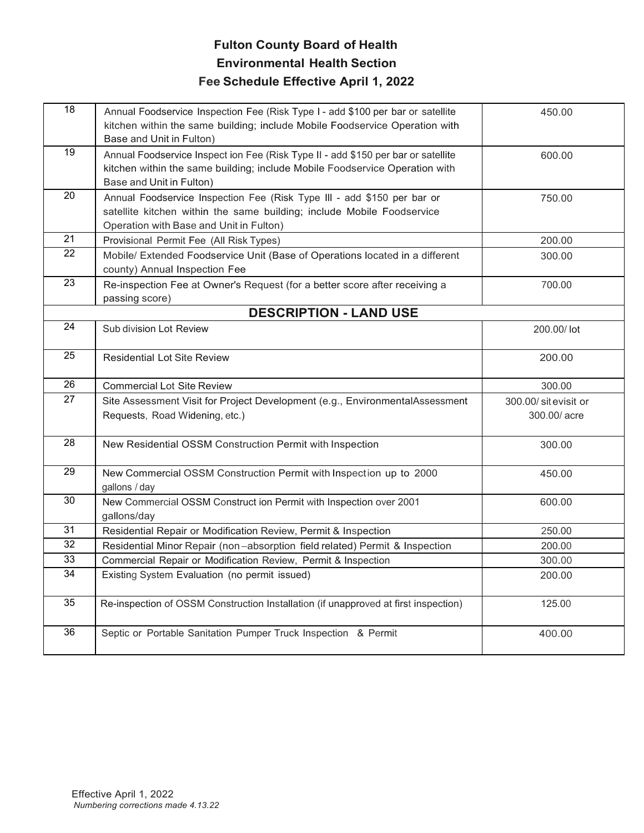| $\overline{18}$ | Annual Foodservice Inspection Fee (Risk Type I - add \$100 per bar or satellite<br>kitchen within the same building; include Mobile Foodservice Operation with<br>Base and Unit in Fulton)   | 450.00                               |
|-----------------|----------------------------------------------------------------------------------------------------------------------------------------------------------------------------------------------|--------------------------------------|
| 19              | Annual Foodservice Inspect ion Fee (Risk Type II - add \$150 per bar or satellite<br>kitchen within the same building; include Mobile Foodservice Operation with<br>Base and Unit in Fulton) | 600.00                               |
| 20              | Annual Foodservice Inspection Fee (Risk Type III - add \$150 per bar or<br>satellite kitchen within the same building; include Mobile Foodservice<br>Operation with Base and Unit in Fulton) | 750.00                               |
| 21              | Provisional Permit Fee (All Risk Types)                                                                                                                                                      | 200.00                               |
| 22              | Mobile/ Extended Foodservice Unit (Base of Operations located in a different<br>county) Annual Inspection Fee                                                                                | 300.00                               |
| 23              | Re-inspection Fee at Owner's Request (for a better score after receiving a<br>passing score)                                                                                                 | 700.00                               |
|                 | <b>DESCRIPTION - LAND USE</b>                                                                                                                                                                |                                      |
| 24              | Sub division Lot Review                                                                                                                                                                      | 200.00/lot                           |
| 25              | <b>Residential Lot Site Review</b>                                                                                                                                                           | 200.00                               |
|                 |                                                                                                                                                                                              |                                      |
| 26              | <b>Commercial Lot Site Review</b>                                                                                                                                                            | 300.00                               |
| 27              | Site Assessment Visit for Project Development (e.g., EnvironmentalAssessment<br>Requests, Road Widening, etc.)                                                                               | 300.00/ sitevisit or<br>300.00/ acre |
| 28              | New Residential OSSM Construction Permit with Inspection                                                                                                                                     | 300.00                               |
| 29              | New Commercial OSSM Construction Permit with Inspection up to 2000<br>gallons / day                                                                                                          | 450.00                               |
| 30              | New Commercial OSSM Construct ion Permit with Inspection over 2001<br>gallons/day                                                                                                            | 600.00                               |
| 31              | Residential Repair or Modification Review, Permit & Inspection                                                                                                                               | 250.00                               |
| 32              | Residential Minor Repair (non-absorption field related) Permit & Inspection                                                                                                                  | 200.00                               |
| 33              | Commercial Repair or Modification Review, Permit & Inspection                                                                                                                                | 300.00                               |
| 34              | Existing System Evaluation (no permit issued)                                                                                                                                                | 200.00                               |
| 35              | Re-inspection of OSSM Construction Installation (if unapproved at first inspection)                                                                                                          | 125.00                               |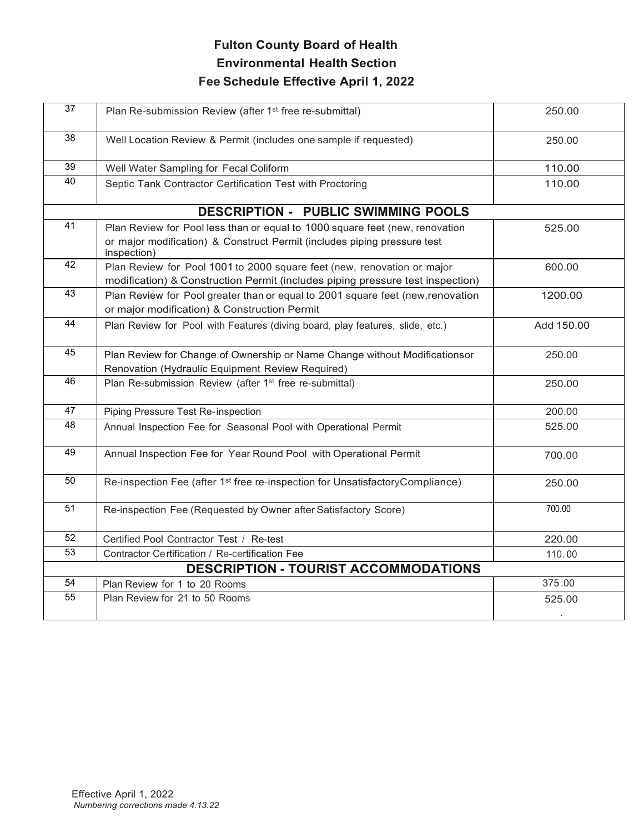| $\overline{37}$                             | Plan Re-submission Review (after 1 <sup>st</sup> free re-submittal)                                                                                       | 250.00            |  |  |
|---------------------------------------------|-----------------------------------------------------------------------------------------------------------------------------------------------------------|-------------------|--|--|
| $\overline{38}$                             | Well Location Review & Permit (includes one sample if requested)                                                                                          | 250.00            |  |  |
| 39                                          | Well Water Sampling for Fecal Coliform                                                                                                                    | 110.00            |  |  |
| 40                                          | Septic Tank Contractor Certification Test with Proctoring                                                                                                 | 110.00            |  |  |
|                                             | <b>DESCRIPTION - PUBLIC SWIMMING POOLS</b>                                                                                                                |                   |  |  |
| 41                                          | Plan Review for Pool less than or equal to 1000 square feet (new, renovation                                                                              | 525.00            |  |  |
|                                             | or major modification) & Construct Permit (includes piping pressure test<br>inspection)                                                                   |                   |  |  |
| 42                                          | Plan Review for Pool 1001 to 2000 square feet (new, renovation or major<br>modification) & Construction Permit (includes piping pressure test inspection) | 600.00            |  |  |
| 43                                          | Plan Review for Pool greater than or equal to 2001 square feet (new, renovation<br>or major modification) & Construction Permit                           | 1200.00           |  |  |
| 44                                          | Plan Review for Pool with Features (diving board, play features, slide, etc.)                                                                             | Add 150.00        |  |  |
| 45                                          | Plan Review for Change of Ownership or Name Change without Modificationsor                                                                                | 250.00            |  |  |
|                                             | Renovation (Hydraulic Equipment Review Required)                                                                                                          |                   |  |  |
| 46                                          | Plan Re-submission Review (after 1 <sup>st</sup> free re-submittal)                                                                                       | 250.00            |  |  |
| 47                                          | Piping Pressure Test Re-inspection                                                                                                                        | 200.00            |  |  |
| 48                                          | Annual Inspection Fee for Seasonal Pool with Operational Permit                                                                                           | 525.00            |  |  |
| 49                                          | Annual Inspection Fee for Year Round Pool with Operational Permit                                                                                         | 700.00            |  |  |
| $\overline{50}$                             | Re-inspection Fee (after 1 <sup>st</sup> free re-inspection for UnsatisfactoryCompliance)                                                                 | 250.00            |  |  |
| 51                                          | Re-inspection Fee (Requested by Owner after Satisfactory Score)                                                                                           | 700.00            |  |  |
| 52                                          | Certified Pool Contractor Test / Re-test                                                                                                                  | 220.00            |  |  |
| 53                                          | Contractor Certification / Re-certification Fee                                                                                                           | 110.00            |  |  |
| <b>DESCRIPTION - TOURIST ACCOMMODATIONS</b> |                                                                                                                                                           |                   |  |  |
| 54                                          | Plan Review for 1 to 20 Rooms                                                                                                                             | 375.00            |  |  |
| $\overline{55}$                             | Plan Review for 21 to 50 Rooms                                                                                                                            | 525.00<br>$\cdot$ |  |  |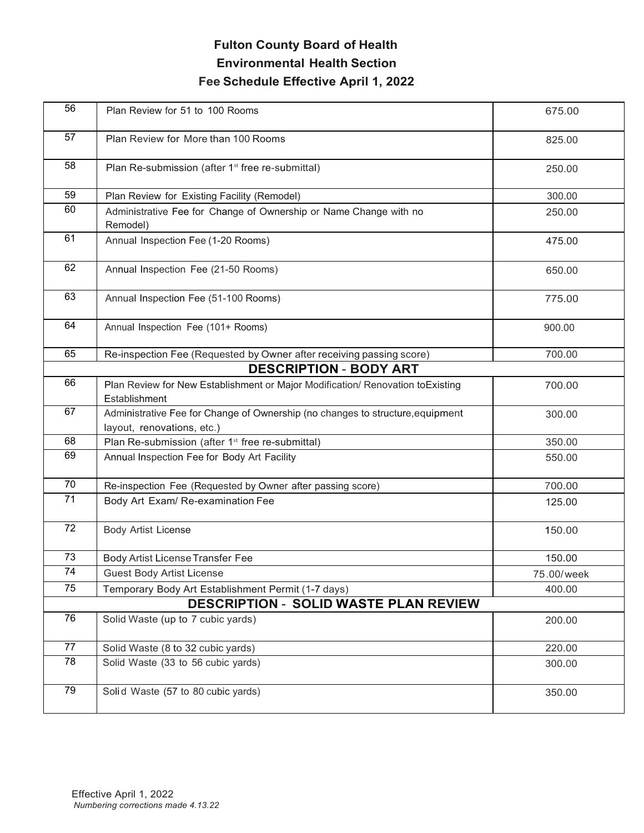| 56 | Plan Review for 51 to 100 Rooms                                                                              | 675.00     |
|----|--------------------------------------------------------------------------------------------------------------|------------|
| 57 | Plan Review for More than 100 Rooms                                                                          | 825.00     |
| 58 | Plan Re-submission (after 1 <sup>st</sup> free re-submittal)                                                 | 250.00     |
| 59 | Plan Review for Existing Facility (Remodel)                                                                  | 300.00     |
| 60 | Administrative Fee for Change of Ownership or Name Change with no<br>Remodel)                                | 250.00     |
| 61 | Annual Inspection Fee (1-20 Rooms)                                                                           | 475.00     |
| 62 | Annual Inspection Fee (21-50 Rooms)                                                                          | 650.00     |
| 63 | Annual Inspection Fee (51-100 Rooms)                                                                         | 775.00     |
| 64 | Annual Inspection Fee (101+ Rooms)                                                                           | 900.00     |
| 65 | Re-inspection Fee (Requested by Owner after receiving passing score)                                         | 700.00     |
|    | <b>DESCRIPTION - BODY ART</b>                                                                                |            |
| 66 | Plan Review for New Establishment or Major Modification/ Renovation toExisting<br>Establishment              | 700.00     |
| 67 | Administrative Fee for Change of Ownership (no changes to structure, equipment<br>layout, renovations, etc.) | 300.00     |
| 68 | Plan Re-submission (after 1 <sup>st</sup> free re-submittal)                                                 | 350.00     |
| 69 | Annual Inspection Fee for Body Art Facility                                                                  | 550.00     |
| 70 | Re-inspection Fee (Requested by Owner after passing score)                                                   | 700.00     |
| 71 | Body Art Exam/ Re-examination Fee                                                                            | 125.00     |
| 72 | <b>Body Artist License</b>                                                                                   | 150.00     |
| 73 | Body Artist License Transfer Fee                                                                             | 150.00     |
| 74 | <b>Guest Body Artist License</b>                                                                             | 75.00/week |
| 75 | Temporary Body Art Establishment Permit (1-7 days)                                                           | 400.00     |
|    | <b>DESCRIPTION - SOLID WASTE PLAN REVIEW</b>                                                                 |            |
| 76 | Solid Waste (up to 7 cubic yards)                                                                            | 200.00     |
| 77 | Solid Waste (8 to 32 cubic yards)                                                                            | 220.00     |
| 78 | Solid Waste (33 to 56 cubic yards)                                                                           | 300.00     |
| 79 | Solid Waste (57 to 80 cubic yards)                                                                           | 350.00     |